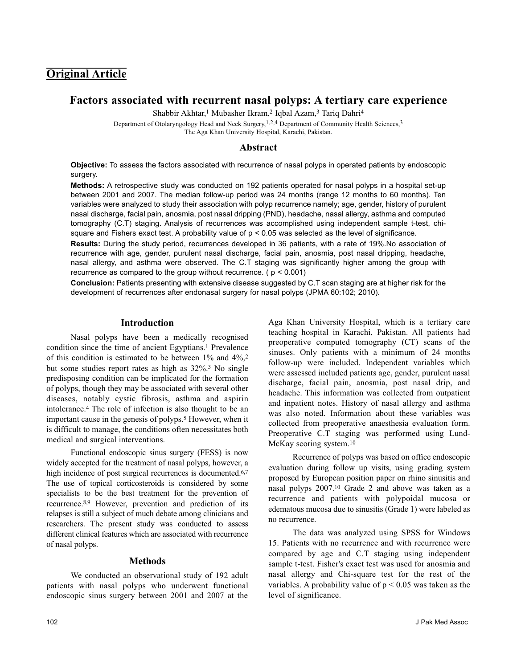# **Original Article**

# **Factors associated with recurrent nasal polyps: A tertiary care experience**

Shabbir Akhtar,<sup>1</sup> Mubasher Ikram,<sup>2</sup> Iqbal Azam,<sup>3</sup> Tariq Dahri<sup>4</sup>

Department of Otolaryngology Head and Neck Surgery,<sup>1,2,4</sup> Department of Community Health Sciences,<sup>3</sup> The Aga Khan University Hospital, Karachi, Pakistan.

#### **Abstract**

**Objective:** To assess the factors associated with recurrence of nasal polyps in operated patients by endoscopic surgery.

**Methods:** A retrospective study was conducted on 192 patients operated for nasal polyps in a hospital set-up between 2001 and 2007. The median follow-up period was 24 months (range 12 months to 60 months). Ten variables were analyzed to study their association with polyp recurrence namely; age, gender, history of purulent nasal discharge, facial pain, anosmia, post nasal dripping (PND), headache, nasal allergy, asthma and computed tomography (C.T) staging. Analysis of recurrences was accomplished using independent sample t-test, chisquare and Fishers exact test. A probability value of  $p < 0.05$  was selected as the level of significance.

**Results:** During the study period, recurrences developed in 36 patients, with a rate of 19%.No association of recurrence with age, gender, purulent nasal discharge, facial pain, anosmia, post nasal dripping, headache, nasal allergy, and asthma were observed. The C.T staging was significantly higher among the group with recurrence as compared to the group without recurrence.  $(p < 0.001)$ 

**Conclusion:** Patients presenting with extensive disease suggested by C.T scan staging are at higher risk for the development of recurrences after endonasal surgery for nasal polyps (JPMA 60:102; 2010).

## **Introduction**

Nasal polyps have been a medically recognised condition since the time of ancient Egyptians.<sup>1</sup> Prevalence of this condition is estimated to be between  $1\%$  and  $4\%$ ,<sup>2</sup> but some studies report rates as high as 32%.<sup>3</sup> No single predisposing condition can be implicated for the formation of polyps, though they may be associated with several other diseases, notably cystic fibrosis, asthma and aspirin intolerance.<sup>4</sup> The role of infection is also thought to be an important cause in the genesis of polyps.<sup>5</sup> However, when it is difficult to manage, the conditions often necessitates both medical and surgical interventions.

Functional endoscopic sinus surgery (FESS) is now widely accepted for the treatment of nasal polyps, however, a high incidence of post surgical recurrences is documented.<sup>6,7</sup> The use of topical corticosteroids is considered by some specialists to be the best treatment for the prevention of recurrence.8,9 However, prevention and prediction of its relapses is still a subject of much debate among clinicians and researchers. The present study was conducted to assess different clinical features which are associated with recurrence of nasal polyps.

# **Methods**

We conducted an observational study of 192 adult patients with nasal polyps who underwent functional endoscopic sinus surgery between 2001 and 2007 at the

Aga Khan University Hospital, which is a tertiary care teaching hospital in Karachi, Pakistan. All patients had preoperative computed tomography (CT) scans of the sinuses. Only patients with a minimum of 24 months follow-up were included. Independent variables which were assessed included patients age, gender, purulent nasal discharge, facial pain, anosmia, post nasal drip, and headache. This information was collected from outpatient and inpatient notes. History of nasal allergy and asthma was also noted. Information about these variables was collected from preoperative anaesthesia evaluation form. Preoperative C.T staging was performed using Lund-McKay scoring system.<sup>10</sup>

Recurrence of polyps was based on office endoscopic evaluation during follow up visits, using grading system proposed by European position paper on rhino sinusitis and nasal polyps 2007.<sup>10</sup> Grade 2 and above was taken as a recurrence and patients with polypoidal mucosa or edematous mucosa due to sinusitis (Grade 1) were labeled as no recurrence.

The data was analyzed using SPSS for Windows 15. Patients with no recurrence and with recurrence were compared by age and C.T staging using independent sample t-test. Fisher's exact test was used for anosmia and nasal allergy and Chi-square test for the rest of the variables. A probability value of  $p < 0.05$  was taken as the level of significance.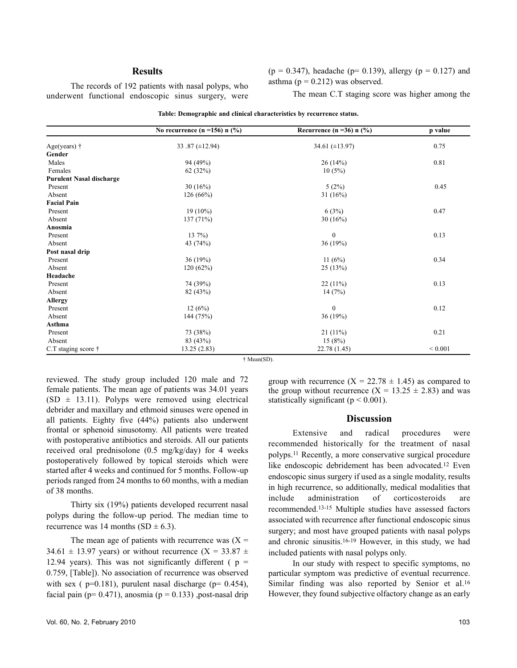### **Results**

 $(p = 0.347)$ , headache (p= 0.139), allergy (p = 0.127) and asthma ( $p = 0.212$ ) was observed.

The records of 192 patients with nasal polyps, who underwent functional endoscopic sinus surgery, were

The mean C.T staging score was higher among the

|                                 | No recurrence $(n = 156)$ n $(\frac{6}{6})$ | Recurrence (n = 36) n $(\frac{9}{6})$ | p value     |
|---------------------------------|---------------------------------------------|---------------------------------------|-------------|
| Age(years) $\dagger$            | 33.87 $(\pm 12.94)$                         | 34.61 $(\pm 13.97)$                   | 0.75        |
| Gender                          |                                             |                                       |             |
| Males                           | 94 (49%)                                    | 26(14%)                               | 0.81        |
| Females                         | 62 $(32%)$                                  | 10(5%)                                |             |
| <b>Purulent Nasal discharge</b> |                                             |                                       |             |
| Present                         | 30(16%)                                     | 5(2%)                                 | 0.45        |
| Absent                          | 126(66%)                                    | 31 $(16%)$                            |             |
| <b>Facial Pain</b>              |                                             |                                       |             |
| Present                         | $19(10\%)$                                  | 6(3%)                                 | 0.47        |
| Absent                          | 137 (71%)                                   | 30 $(16%)$                            |             |
| Anosmia                         |                                             |                                       |             |
| Present                         | $137\%$                                     | $\mathbf{0}$                          | 0.13        |
| Absent                          | 43 (74%)                                    | 36 (19%)                              |             |
| Post nasal drip                 |                                             |                                       |             |
| Present                         | 36(19%)                                     | 11 $(6%)$                             | 0.34        |
| Absent                          | 120(62%)                                    | 25(13%)                               |             |
| Headache                        |                                             |                                       |             |
| Present                         | 74 (39%)                                    | $22(11\%)$                            | 0.13        |
| Absent                          | 82 (43%)                                    | 14(7%)                                |             |
| <b>Allergy</b>                  |                                             |                                       |             |
| Present                         | 12(6%)                                      | $\mathbf{0}$                          | 0.12        |
| Absent                          | 144 (75%)                                   | 36 (19%)                              |             |
| Asthma                          |                                             |                                       |             |
| Present                         | 73 (38%)                                    | $21(11\%)$                            | 0.21        |
| Absent                          | 83 (43%)                                    | 15(8%)                                |             |
| C.T staging score $\dagger$     | 13.25(2.83)                                 | 22.78 (1.45)                          | ${}< 0.001$ |

**Table: Demographic and clinical characteristics by recurrence status.**

† Mean(SD).

reviewed. The study group included 120 male and 72 female patients. The mean age of patients was 34.01 years  $(SD \pm 13.11)$ . Polyps were removed using electrical debrider and maxillary and ethmoid sinuses were opened in all patients. Eighty five (44%) patients also underwent frontal or sphenoid sinusotomy. All patients were treated with postoperative antibiotics and steroids. All our patients received oral prednisolone (0.5 mg/kg/day) for 4 weeks postoperatively followed by topical steroids which were started after 4 weeks and continued for 5 months. Follow-up periods ranged from 24 months to 60 months, with a median of 38 months.

Thirty six (19%) patients developed recurrent nasal polyps during the follow-up period. The median time to recurrence was 14 months (SD  $\pm$  6.3).

The mean age of patients with recurrence was  $(X =$ 34.61  $\pm$  13.97 years) or without recurrence (X = 33.87  $\pm$ 12.94 years). This was not significantly different ( $p =$ 0.759, [Table]). No association of recurrence was observed with sex ( $p=0.181$ ), purulent nasal discharge ( $p= 0.454$ ), facial pain ( $p= 0.471$ ), anosmia ( $p = 0.133$ ) ,post-nasal drip

group with recurrence  $(X = 22.78 \pm 1.45)$  as compared to the group without recurrence  $(X = 13.25 \pm 2.83)$  and was statistically significant ( $p < 0.001$ ).

## **Discussion**

Extensive and radical procedures were recommended historically for the treatment of nasal polyps.<sup>11</sup> Recently, a more conservative surgical procedure like endoscopic debridement has been advocated.<sup>12</sup> Even endoscopic sinus surgery if used as a single modality, results in high recurrence, so additionally, medical modalities that include administration of corticosteroids are recommended.13-15 Multiple studies have assessed factors associated with recurrence after functional endoscopic sinus surgery; and most have grouped patients with nasal polyps and chronic sinusitis.16-19 However, in this study, we had included patients with nasal polyps only.

In our study with respect to specific symptoms, no particular symptom was predictive of eventual recurrence. Similar finding was also reported by Senior et al.<sup>16</sup> However, they found subjective olfactory change as an early